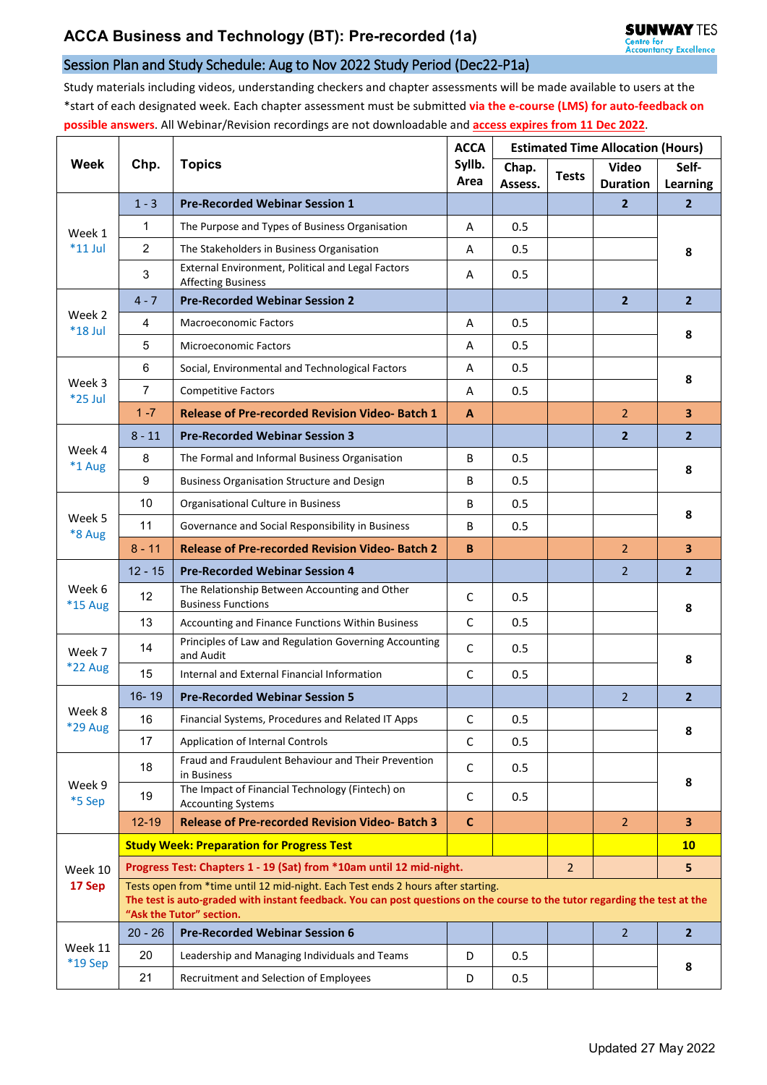## Session Plan and Study Schedule: Aug to Nov 2022 Study Period (Dec22-P1a)

Study materials including videos, understanding checkers and chapter assessments will be made available to users at the \*start of each designated week. Each chapter assessment must be submitted **via the e-course (LMS) for auto-feedback on possible answers**. All Webinar/Revision recordings are not downloadable and **access expires from 11 Dec 2022**.

| <b>Week</b>         | Chp.                                                                                                                                                                                                                                       | <b>Topics</b>                                                                  | <b>ACCA</b><br>Syllb.<br>Area | <b>Estimated Time Allocation (Hours)</b> |                |                                 |                          |  |  |  |
|---------------------|--------------------------------------------------------------------------------------------------------------------------------------------------------------------------------------------------------------------------------------------|--------------------------------------------------------------------------------|-------------------------------|------------------------------------------|----------------|---------------------------------|--------------------------|--|--|--|
|                     |                                                                                                                                                                                                                                            |                                                                                |                               | Chap.<br>Assess.                         | <b>Tests</b>   | <b>Video</b><br><b>Duration</b> | Self-<br><b>Learning</b> |  |  |  |
| Week 1<br>$*11$ Jul | $1 - 3$                                                                                                                                                                                                                                    | <b>Pre-Recorded Webinar Session 1</b>                                          |                               |                                          |                | $\mathbf{2}$                    | $\overline{2}$           |  |  |  |
|                     | 1                                                                                                                                                                                                                                          | The Purpose and Types of Business Organisation                                 | A                             | 0.5                                      |                |                                 | 8                        |  |  |  |
|                     | $\overline{2}$                                                                                                                                                                                                                             | The Stakeholders in Business Organisation                                      | A                             | 0.5                                      |                |                                 |                          |  |  |  |
|                     | 3                                                                                                                                                                                                                                          | External Environment, Political and Legal Factors<br><b>Affecting Business</b> | Α                             | 0.5                                      |                |                                 |                          |  |  |  |
| Week 2<br>$*18$ Jul | $4 - 7$                                                                                                                                                                                                                                    | <b>Pre-Recorded Webinar Session 2</b>                                          |                               |                                          |                | $\overline{2}$                  | $\overline{2}$           |  |  |  |
|                     | 4                                                                                                                                                                                                                                          | <b>Macroeconomic Factors</b>                                                   | Α                             | 0.5                                      |                |                                 | 8                        |  |  |  |
|                     | 5                                                                                                                                                                                                                                          | <b>Microeconomic Factors</b>                                                   | Α                             | 0.5                                      |                |                                 |                          |  |  |  |
| Week 3<br>*25 Jul   | 6                                                                                                                                                                                                                                          | Social, Environmental and Technological Factors                                | A                             | 0.5                                      |                |                                 | 8                        |  |  |  |
|                     | $\overline{7}$                                                                                                                                                                                                                             | <b>Competitive Factors</b>                                                     | Α                             | 0.5                                      |                |                                 |                          |  |  |  |
|                     | $1 - 7$                                                                                                                                                                                                                                    | <b>Release of Pre-recorded Revision Video-Batch 1</b>                          | $\mathbf{A}$                  |                                          |                | 2                               | 3                        |  |  |  |
| Week 4<br>*1 Aug    | $8 - 11$                                                                                                                                                                                                                                   | <b>Pre-Recorded Webinar Session 3</b>                                          |                               |                                          |                | $\overline{2}$                  | $\overline{2}$           |  |  |  |
|                     | 8                                                                                                                                                                                                                                          | The Formal and Informal Business Organisation                                  | B                             | 0.5                                      |                |                                 | 8                        |  |  |  |
|                     | 9                                                                                                                                                                                                                                          | <b>Business Organisation Structure and Design</b>                              | B                             | 0.5                                      |                |                                 |                          |  |  |  |
|                     | 10                                                                                                                                                                                                                                         | Organisational Culture in Business                                             | B                             | 0.5                                      |                |                                 | 8                        |  |  |  |
| Week 5<br>*8 Aug    | 11                                                                                                                                                                                                                                         | Governance and Social Responsibility in Business                               | B                             | 0.5                                      |                |                                 |                          |  |  |  |
|                     | $8 - 11$                                                                                                                                                                                                                                   | <b>Release of Pre-recorded Revision Video-Batch 2</b>                          | B                             |                                          |                | $\overline{2}$                  | 3                        |  |  |  |
|                     | $12 - 15$                                                                                                                                                                                                                                  | <b>Pre-Recorded Webinar Session 4</b>                                          |                               |                                          |                | $\overline{2}$                  | $\overline{2}$           |  |  |  |
| Week 6<br>*15 Aug   | 12                                                                                                                                                                                                                                         | The Relationship Between Accounting and Other<br><b>Business Functions</b>     | $\mathsf{C}$                  | 0.5                                      |                |                                 | 8                        |  |  |  |
|                     | 13                                                                                                                                                                                                                                         | Accounting and Finance Functions Within Business                               | C                             | 0.5                                      |                |                                 |                          |  |  |  |
| Week 7              | 14                                                                                                                                                                                                                                         | Principles of Law and Regulation Governing Accounting<br>and Audit             | C                             | 0.5                                      |                |                                 | 8                        |  |  |  |
| <b>*22 Aug</b>      | 15                                                                                                                                                                                                                                         | Internal and External Financial Information                                    | $\mathsf C$                   | 0.5                                      |                |                                 |                          |  |  |  |
|                     | $16 - 19$                                                                                                                                                                                                                                  | <b>Pre-Recorded Webinar Session 5</b>                                          |                               |                                          |                | $\overline{2}$                  | $\overline{2}$           |  |  |  |
| Week 8<br>*29 Aug   | 16                                                                                                                                                                                                                                         | Financial Systems, Procedures and Related IT Apps                              | C                             | 0.5                                      |                |                                 | 8                        |  |  |  |
|                     | 17                                                                                                                                                                                                                                         | Application of Internal Controls                                               | C                             | 0.5                                      |                |                                 |                          |  |  |  |
| Week 9<br>*5 Sep    | 18                                                                                                                                                                                                                                         | Fraud and Fraudulent Behaviour and Their Prevention<br>in Business             | $\mathsf C$                   | 0.5                                      |                |                                 | 8                        |  |  |  |
|                     | 19                                                                                                                                                                                                                                         | The Impact of Financial Technology (Fintech) on<br><b>Accounting Systems</b>   | C                             | 0.5                                      |                |                                 |                          |  |  |  |
|                     | $12 - 19$                                                                                                                                                                                                                                  | <b>Release of Pre-recorded Revision Video-Batch 3</b>                          | $\mathbf C$                   |                                          |                | $\overline{2}$                  | $\overline{\mathbf{3}}$  |  |  |  |
|                     | <b>Study Week: Preparation for Progress Test</b>                                                                                                                                                                                           |                                                                                |                               |                                          |                |                                 | <b>10</b>                |  |  |  |
| Week 10             | Progress Test: Chapters 1 - 19 (Sat) from *10am until 12 mid-night.                                                                                                                                                                        |                                                                                |                               |                                          | $\overline{2}$ |                                 | 5                        |  |  |  |
| 17 Sep              | Tests open from *time until 12 mid-night. Each Test ends 2 hours after starting.<br>The test is auto-graded with instant feedback. You can post questions on the course to the tutor regarding the test at the<br>"Ask the Tutor" section. |                                                                                |                               |                                          |                |                                 |                          |  |  |  |
| Week 11<br>*19 Sep  | $20 - 26$                                                                                                                                                                                                                                  | <b>Pre-Recorded Webinar Session 6</b>                                          |                               |                                          |                | $\overline{2}$                  | $\overline{2}$           |  |  |  |
|                     | 20                                                                                                                                                                                                                                         | Leadership and Managing Individuals and Teams                                  | D                             | 0.5                                      |                |                                 | 8                        |  |  |  |
|                     | 21                                                                                                                                                                                                                                         | Recruitment and Selection of Employees                                         | D                             | 0.5                                      |                |                                 |                          |  |  |  |